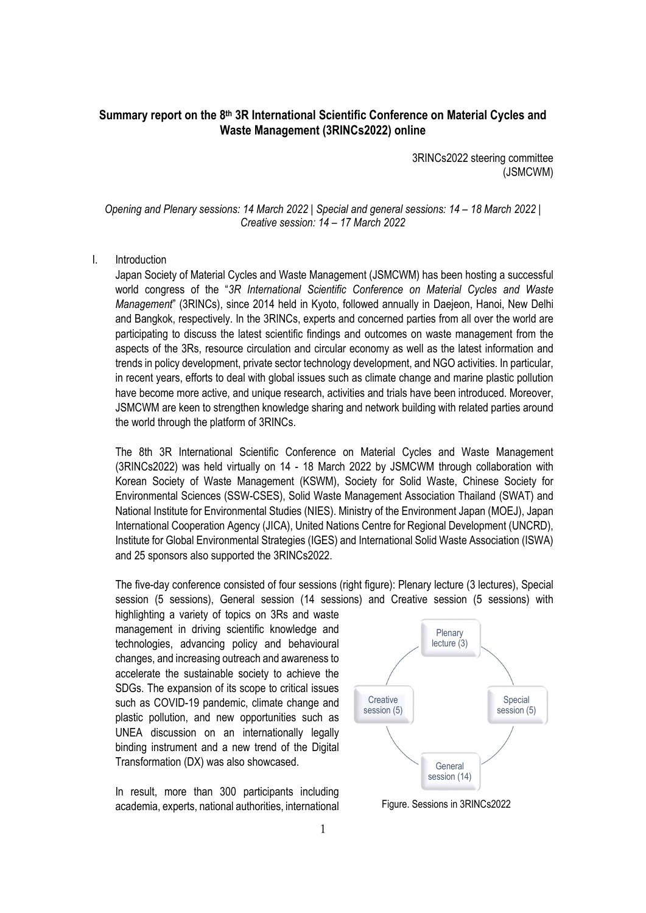# **Summary report on the 8th 3R International Scientific Conference on Material Cycles and Waste Management (3RINCs2022) online**

3RINCs2022 steering committee (JSMCWM)

*Opening and Plenary sessions: 14 March 2022 | Special and general sessions: 14 – 18 March 2022 | Creative session: 14 – 17 March 2022* 

#### I. Introduction

Japan Society of Material Cycles and Waste Management (JSMCWM) has been hosting a successful world congress of the "*3R International Scientific Conference on Material Cycles and Waste Management*" (3RINCs), since 2014 held in Kyoto, followed annually in Daejeon, Hanoi, New Delhi and Bangkok, respectively. In the 3RINCs, experts and concerned parties from all over the world are participating to discuss the latest scientific findings and outcomes on waste management from the aspects of the 3Rs, resource circulation and circular economy as well as the latest information and trends in policy development, private sector technology development, and NGO activities. In particular, in recent years, efforts to deal with global issues such as climate change and marine plastic pollution have become more active, and unique research, activities and trials have been introduced. Moreover, JSMCWM are keen to strengthen knowledge sharing and network building with related parties around the world through the platform of 3RINCs.

The 8th 3R International Scientific Conference on Material Cycles and Waste Management (3RINCs2022) was held virtually on 14 - 18 March 2022 by JSMCWM through collaboration with Korean Society of Waste Management (KSWM), Society for Solid Waste, Chinese Society for Environmental Sciences (SSW-CSES), Solid Waste Management Association Thailand (SWAT) and National Institute for Environmental Studies (NIES). Ministry of the Environment Japan (MOEJ), Japan International Cooperation Agency (JICA), United Nations Centre for Regional Development (UNCRD), Institute for Global Environmental Strategies (IGES) and International Solid Waste Association (ISWA) and 25 sponsors also supported the 3RINCs2022.

The five-day conference consisted of four sessions (right figure): Plenary lecture (3 lectures), Special session (5 sessions), General session (14 sessions) and Creative session (5 sessions) with

highlighting a variety of topics on 3Rs and waste management in driving scientific knowledge and technologies, advancing policy and behavioural changes, and increasing outreach and awareness to accelerate the sustainable society to achieve the SDGs. The expansion of its scope to critical issues such as COVID-19 pandemic, climate change and plastic pollution, and new opportunities such as UNEA discussion on an internationally legally binding instrument and a new trend of the Digital Transformation (DX) was also showcased.

In result, more than 300 participants including academia, experts, national authorities, international



Figure. Sessions in 3RINCs2022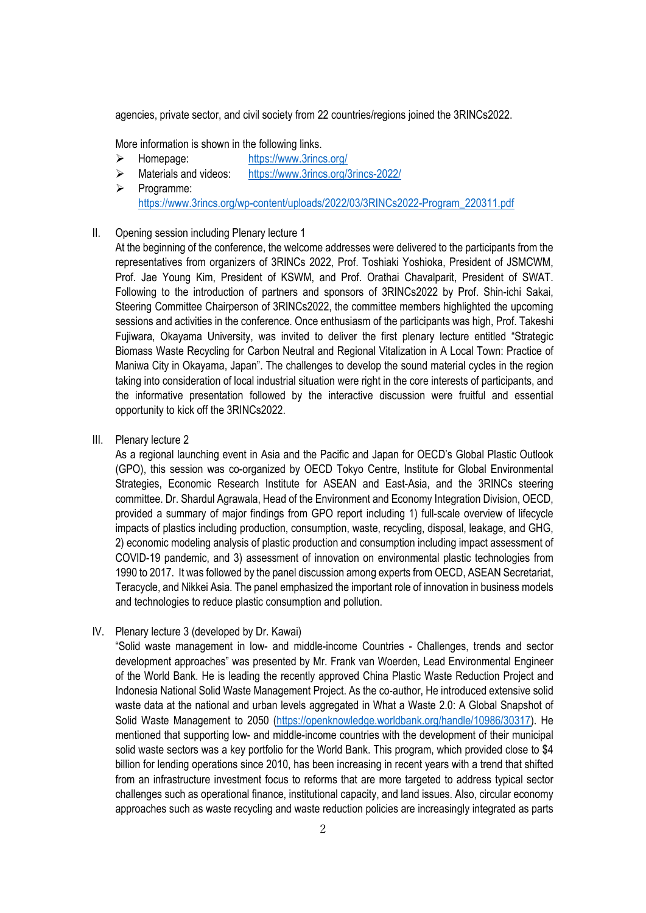agencies, private sector, and civil society from 22 countries/regions joined the 3RINCs2022.

More information is shown in the following links.

- Homepage: https://www.3rincs.org/
- Materials and videos: https://www.3rincs.org/3rincs-2022/
- $\triangleright$  Programme: https://www.3rincs.org/wp-content/uploads/2022/03/3RINCs2022-Program\_220311.pdf

## II. Opening session including Plenary lecture 1

At the beginning of the conference, the welcome addresses were delivered to the participants from the representatives from organizers of 3RINCs 2022, Prof. Toshiaki Yoshioka, President of JSMCWM, Prof. Jae Young Kim, President of KSWM, and Prof. Orathai Chavalparit, President of SWAT. Following to the introduction of partners and sponsors of 3RINCs2022 by Prof. Shin-ichi Sakai, Steering Committee Chairperson of 3RINCs2022, the committee members highlighted the upcoming sessions and activities in the conference. Once enthusiasm of the participants was high, Prof. Takeshi Fujiwara, Okayama University, was invited to deliver the first plenary lecture entitled "Strategic Biomass Waste Recycling for Carbon Neutral and Regional Vitalization in A Local Town: Practice of Maniwa City in Okayama, Japan". The challenges to develop the sound material cycles in the region taking into consideration of local industrial situation were right in the core interests of participants, and the informative presentation followed by the interactive discussion were fruitful and essential opportunity to kick off the 3RINCs2022.

III. Plenary lecture 2

As a regional launching event in Asia and the Pacific and Japan for OECD's Global Plastic Outlook (GPO), this session was co-organized by OECD Tokyo Centre, Institute for Global Environmental Strategies, Economic Research Institute for ASEAN and East-Asia, and the 3RINCs steering committee. Dr. Shardul Agrawala, Head of the Environment and Economy Integration Division, OECD, provided a summary of major findings from GPO report including 1) full-scale overview of lifecycle impacts of plastics including production, consumption, waste, recycling, disposal, leakage, and GHG, 2) economic modeling analysis of plastic production and consumption including impact assessment of COVID-19 pandemic, and 3) assessment of innovation on environmental plastic technologies from 1990 to 2017. It was followed by the panel discussion among experts from OECD, ASEAN Secretariat, Teracycle, and Nikkei Asia. The panel emphasized the important role of innovation in business models and technologies to reduce plastic consumption and pollution.

IV. Plenary lecture 3 (developed by Dr. Kawai)

"Solid waste management in low- and middle-income Countries - Challenges, trends and sector development approaches" was presented by Mr. Frank van Woerden, Lead Environmental Engineer of the World Bank. He is leading the recently approved China Plastic Waste Reduction Project and Indonesia National Solid Waste Management Project. As the co-author, He introduced extensive solid waste data at the national and urban levels aggregated in What a Waste 2.0: A Global Snapshot of Solid Waste Management to 2050 (https://openknowledge.worldbank.org/handle/10986/30317). He mentioned that supporting low- and middle-income countries with the development of their municipal solid waste sectors was a key portfolio for the World Bank. This program, which provided close to \$4 billion for lending operations since 2010, has been increasing in recent years with a trend that shifted from an infrastructure investment focus to reforms that are more targeted to address typical sector challenges such as operational finance, institutional capacity, and land issues. Also, circular economy approaches such as waste recycling and waste reduction policies are increasingly integrated as parts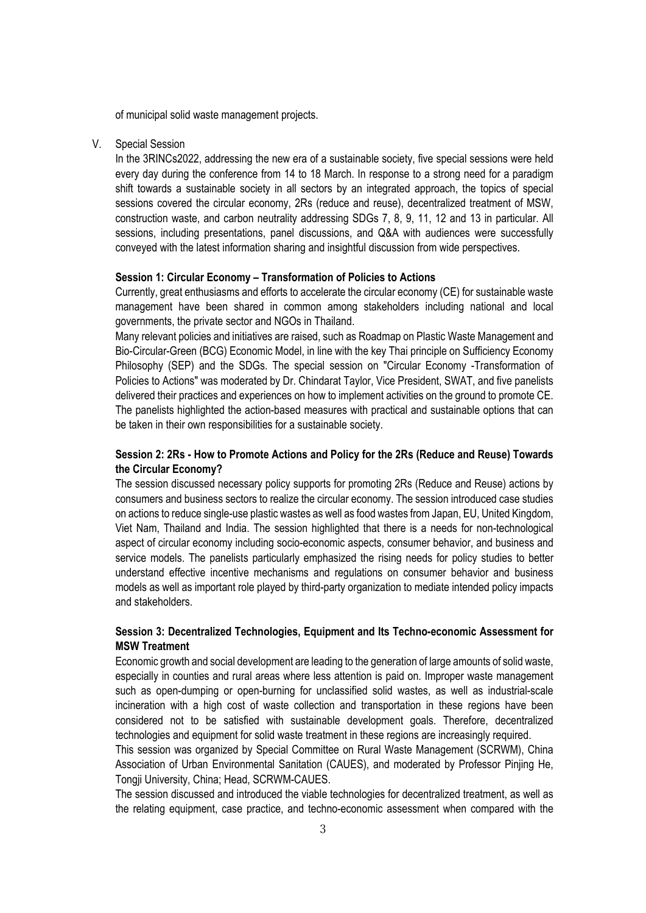of municipal solid waste management projects.

#### V. Special Session

In the 3RINCs2022, addressing the new era of a sustainable society, five special sessions were held every day during the conference from 14 to 18 March. In response to a strong need for a paradigm shift towards a sustainable society in all sectors by an integrated approach, the topics of special sessions covered the circular economy, 2Rs (reduce and reuse), decentralized treatment of MSW, construction waste, and carbon neutrality addressing SDGs 7, 8, 9, 11, 12 and 13 in particular. All sessions, including presentations, panel discussions, and Q&A with audiences were successfully conveyed with the latest information sharing and insightful discussion from wide perspectives.

#### **Session 1: Circular Economy – Transformation of Policies to Actions**

Currently, great enthusiasms and efforts to accelerate the circular economy (CE) for sustainable waste management have been shared in common among stakeholders including national and local governments, the private sector and NGOs in Thailand.

Many relevant policies and initiatives are raised, such as Roadmap on Plastic Waste Management and Bio-Circular-Green (BCG) Economic Model, in line with the key Thai principle on Sufficiency Economy Philosophy (SEP) and the SDGs. The special session on "Circular Economy -Transformation of Policies to Actions" was moderated by Dr. Chindarat Taylor, Vice President, SWAT, and five panelists delivered their practices and experiences on how to implement activities on the ground to promote CE. The panelists highlighted the action-based measures with practical and sustainable options that can be taken in their own responsibilities for a sustainable society.

## **Session 2: 2Rs - How to Promote Actions and Policy for the 2Rs (Reduce and Reuse) Towards the Circular Economy?**

The session discussed necessary policy supports for promoting 2Rs (Reduce and Reuse) actions by consumers and business sectors to realize the circular economy. The session introduced case studies on actions to reduce single-use plastic wastes as well as food wastes from Japan, EU, United Kingdom, Viet Nam, Thailand and India. The session highlighted that there is a needs for non-technological aspect of circular economy including socio-economic aspects, consumer behavior, and business and service models. The panelists particularly emphasized the rising needs for policy studies to better understand effective incentive mechanisms and regulations on consumer behavior and business models as well as important role played by third-party organization to mediate intended policy impacts and stakeholders.

## **Session 3: Decentralized Technologies, Equipment and Its Techno-economic Assessment for MSW Treatment**

Economic growth and social development are leading to the generation of large amounts of solid waste, especially in counties and rural areas where less attention is paid on. Improper waste management such as open-dumping or open-burning for unclassified solid wastes, as well as industrial-scale incineration with a high cost of waste collection and transportation in these regions have been considered not to be satisfied with sustainable development goals. Therefore, decentralized technologies and equipment for solid waste treatment in these regions are increasingly required.

This session was organized by Special Committee on Rural Waste Management (SCRWM), China Association of Urban Environmental Sanitation (CAUES), and moderated by Professor Pinjing He, Tongji University, China; Head, SCRWM-CAUES.

The session discussed and introduced the viable technologies for decentralized treatment, as well as the relating equipment, case practice, and techno-economic assessment when compared with the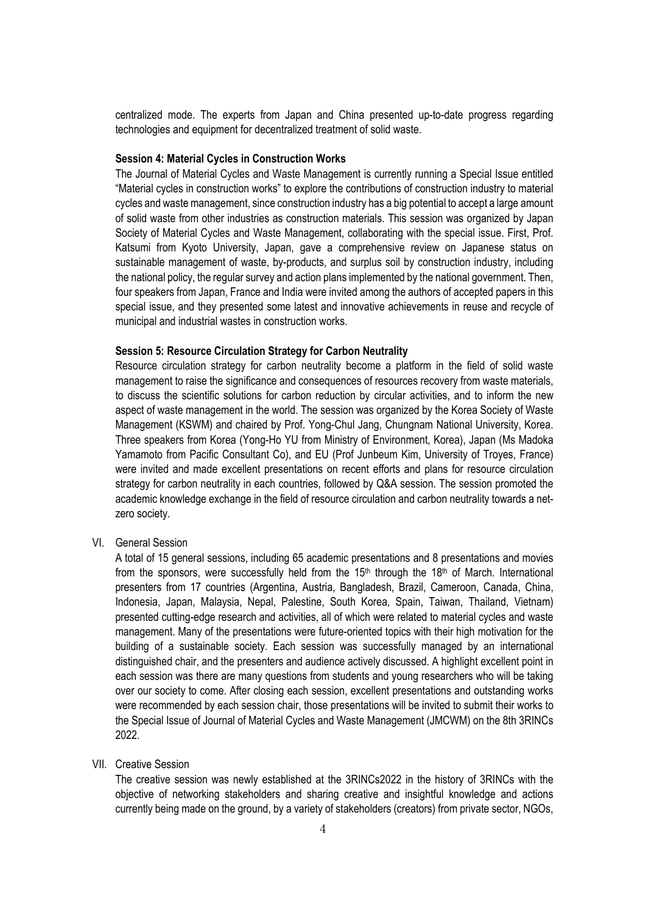centralized mode. The experts from Japan and China presented up-to-date progress regarding technologies and equipment for decentralized treatment of solid waste.

#### **Session 4: Material Cycles in Construction Works**

The Journal of Material Cycles and Waste Management is currently running a Special Issue entitled "Material cycles in construction works" to explore the contributions of construction industry to material cycles and waste management, since construction industry has a big potential to accept a large amount of solid waste from other industries as construction materials. This session was organized by Japan Society of Material Cycles and Waste Management, collaborating with the special issue. First, Prof. Katsumi from Kyoto University, Japan, gave a comprehensive review on Japanese status on sustainable management of waste, by-products, and surplus soil by construction industry, including the national policy, the regular survey and action plans implemented by the national government. Then, four speakers from Japan, France and India were invited among the authors of accepted papers in this special issue, and they presented some latest and innovative achievements in reuse and recycle of municipal and industrial wastes in construction works.

#### **Session 5: Resource Circulation Strategy for Carbon Neutrality**

Resource circulation strategy for carbon neutrality become a platform in the field of solid waste management to raise the significance and consequences of resources recovery from waste materials, to discuss the scientific solutions for carbon reduction by circular activities, and to inform the new aspect of waste management in the world. The session was organized by the Korea Society of Waste Management (KSWM) and chaired by Prof. Yong-Chul Jang, Chungnam National University, Korea. Three speakers from Korea (Yong-Ho YU from Ministry of Environment, Korea), Japan (Ms Madoka Yamamoto from Pacific Consultant Co), and EU (Prof Junbeum Kim, University of Troyes, France) were invited and made excellent presentations on recent efforts and plans for resource circulation strategy for carbon neutrality in each countries, followed by Q&A session. The session promoted the academic knowledge exchange in the field of resource circulation and carbon neutrality towards a netzero society.

VI. General Session

A total of 15 general sessions, including 65 academic presentations and 8 presentations and movies from the sponsors, were successfully held from the 15<sup>th</sup> through the 18<sup>th</sup> of March. International presenters from 17 countries (Argentina, Austria, Bangladesh, Brazil, Cameroon, Canada, China, Indonesia, Japan, Malaysia, Nepal, Palestine, South Korea, Spain, Taiwan, Thailand, Vietnam) presented cutting-edge research and activities, all of which were related to material cycles and waste management. Many of the presentations were future-oriented topics with their high motivation for the building of a sustainable society. Each session was successfully managed by an international distinguished chair, and the presenters and audience actively discussed. A highlight excellent point in each session was there are many questions from students and young researchers who will be taking over our society to come. After closing each session, excellent presentations and outstanding works were recommended by each session chair, those presentations will be invited to submit their works to the Special Issue of Journal of Material Cycles and Waste Management (JMCWM) on the 8th 3RINCs 2022.

#### VII. Creative Session

The creative session was newly established at the 3RINCs2022 in the history of 3RINCs with the objective of networking stakeholders and sharing creative and insightful knowledge and actions currently being made on the ground, by a variety of stakeholders (creators) from private sector, NGOs,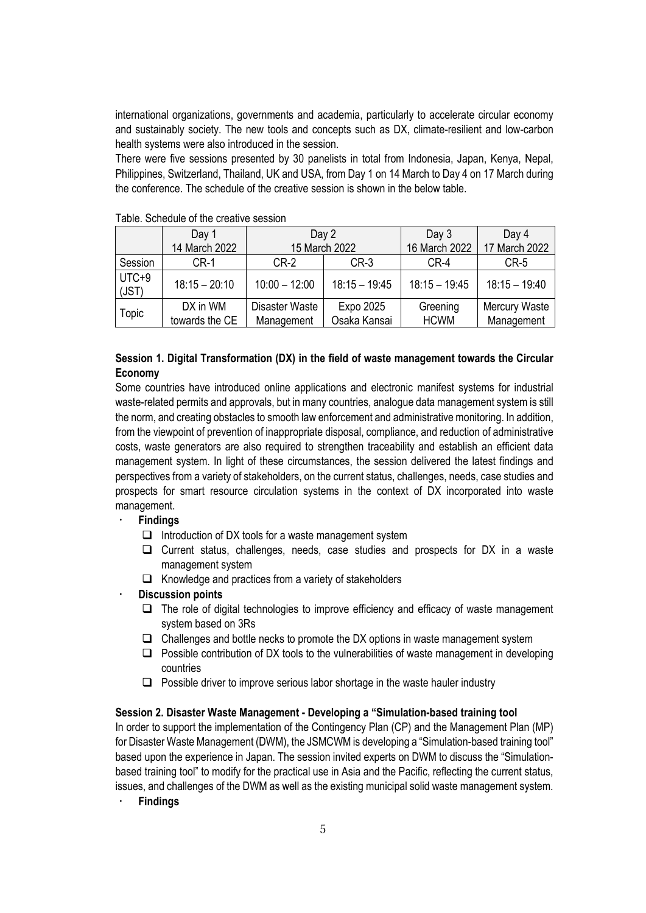international organizations, governments and academia, particularly to accelerate circular economy and sustainably society. The new tools and concepts such as DX, climate-resilient and low-carbon health systems were also introduced in the session.

There were five sessions presented by 30 panelists in total from Indonesia, Japan, Kenya, Nepal, Philippines, Switzerland, Thailand, UK and USA, from Day 1 on 14 March to Day 4 on 17 March during the conference. The schedule of the creative session is shown in the below table.

|                  | Day 1                      | Day 2                        |                           | Day 3                   | Day 4                       |
|------------------|----------------------------|------------------------------|---------------------------|-------------------------|-----------------------------|
|                  | 14 March 2022              | 15 March 2022                |                           | 16 March 2022           | 17 March 2022               |
| Session          | $CR-1$                     | $CR-2$                       | $CR-3$                    | $CR-4$                  | CR-5                        |
| $UTC+9$<br>(JST) | $18:15 - 20:10$            | $10:00 - 12:00$              | $18:15 - 19:45$           | $18:15 - 19:45$         | $18:15 - 19:40$             |
| <b>Topic</b>     | DX in WM<br>towards the CE | Disaster Waste<br>Management | Expo 2025<br>Osaka Kansai | Greening<br><b>HCWM</b> | Mercury Waste<br>Management |

Table. Schedule of the creative session

## **Session 1. Digital Transformation (DX) in the field of waste management towards the Circular Economy**

Some countries have introduced online applications and electronic manifest systems for industrial waste-related permits and approvals, but in many countries, analogue data management system is still the norm, and creating obstacles to smooth law enforcement and administrative monitoring. In addition, from the viewpoint of prevention of inappropriate disposal, compliance, and reduction of administrative costs, waste generators are also required to strengthen traceability and establish an efficient data management system. In light of these circumstances, the session delivered the latest findings and perspectives from a variety of stakeholders, on the current status, challenges, needs, case studies and prospects for smart resource circulation systems in the context of DX incorporated into waste management.

#### **Findings**

- $\Box$  Introduction of DX tools for a waste management system
- $\Box$  Current status, challenges, needs, case studies and prospects for DX in a waste management system
- $\Box$  Knowledge and practices from a variety of stakeholders
- **Discussion points** 
	- $\Box$  The role of digital technologies to improve efficiency and efficacy of waste management system based on 3Rs
	- $\Box$  Challenges and bottle necks to promote the DX options in waste management system
	- $\Box$  Possible contribution of DX tools to the vulnerabilities of waste management in developing countries
	- $\Box$  Possible driver to improve serious labor shortage in the waste hauler industry

#### **Session 2. Disaster Waste Management - Developing a "Simulation-based training tool**

In order to support the implementation of the Contingency Plan (CP) and the Management Plan (MP) for Disaster Waste Management (DWM), the JSMCWM is developing a "Simulation-based training tool" based upon the experience in Japan. The session invited experts on DWM to discuss the "Simulationbased training tool" to modify for the practical use in Asia and the Pacific, reflecting the current status, issues, and challenges of the DWM as well as the existing municipal solid waste management system.

**Findings**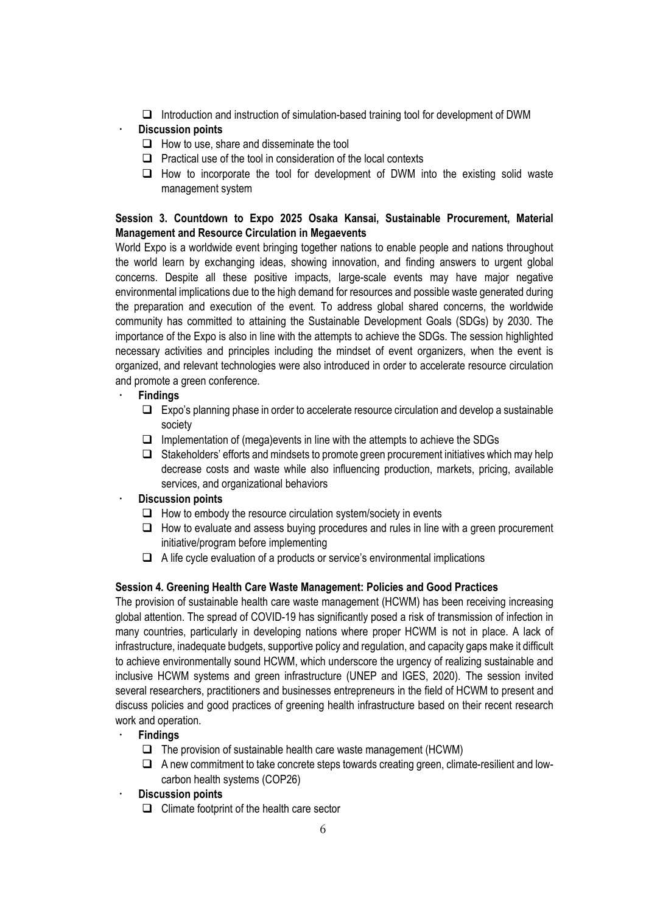$\Box$  Introduction and instruction of simulation-based training tool for development of DWM

## **Discussion points**

- $\Box$  How to use, share and disseminate the tool
- $\Box$  Practical use of the tool in consideration of the local contexts
- $\Box$  How to incorporate the tool for development of DWM into the existing solid waste management system

## **Session 3. Countdown to Expo 2025 Osaka Kansai, Sustainable Procurement, Material Management and Resource Circulation in Megaevents**

World Expo is a worldwide event bringing together nations to enable people and nations throughout the world learn by exchanging ideas, showing innovation, and finding answers to urgent global concerns. Despite all these positive impacts, large-scale events may have major negative environmental implications due to the high demand for resources and possible waste generated during the preparation and execution of the event. To address global shared concerns, the worldwide community has committed to attaining the Sustainable Development Goals (SDGs) by 2030. The importance of the Expo is also in line with the attempts to achieve the SDGs. The session highlighted necessary activities and principles including the mindset of event organizers, when the event is organized, and relevant technologies were also introduced in order to accelerate resource circulation and promote a green conference.

## **Findings**

- $\Box$  Expo's planning phase in order to accelerate resource circulation and develop a sustainable society
- $\Box$  Implementation of (mega)events in line with the attempts to achieve the SDGs
- $\Box$  Stakeholders' efforts and mindsets to promote green procurement initiatives which may help decrease costs and waste while also influencing production, markets, pricing, available services, and organizational behaviors

## **Discussion points**

- $\Box$  How to embody the resource circulation system/society in events
- $\Box$  How to evaluate and assess buying procedures and rules in line with a green procurement initiative/program before implementing
- $\Box$  A life cycle evaluation of a products or service's environmental implications

## **Session 4. Greening Health Care Waste Management: Policies and Good Practices**

The provision of sustainable health care waste management (HCWM) has been receiving increasing global attention. The spread of COVID-19 has significantly posed a risk of transmission of infection in many countries, particularly in developing nations where proper HCWM is not in place. A lack of infrastructure, inadequate budgets, supportive policy and regulation, and capacity gaps make it difficult to achieve environmentally sound HCWM, which underscore the urgency of realizing sustainable and inclusive HCWM systems and green infrastructure (UNEP and IGES, 2020). The session invited several researchers, practitioners and businesses entrepreneurs in the field of HCWM to present and discuss policies and good practices of greening health infrastructure based on their recent research work and operation.

- **Findings** 
	- $\Box$  The provision of sustainable health care waste management (HCWM)
	- $\Box$  A new commitment to take concrete steps towards creating green, climate-resilient and lowcarbon health systems (COP26)
- **Discussion points** 
	- $\Box$  Climate footprint of the health care sector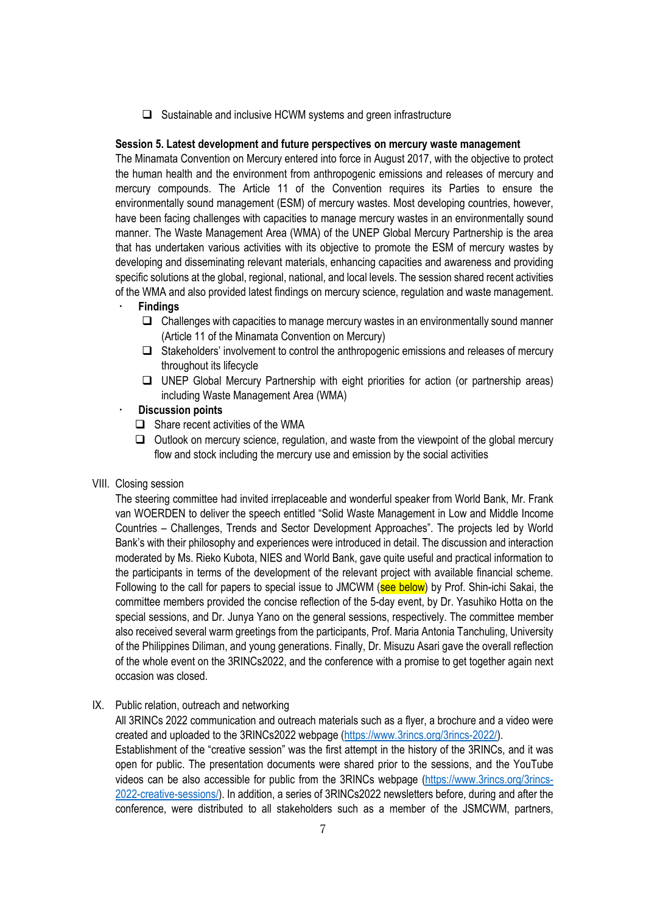$\Box$  Sustainable and inclusive HCWM systems and green infrastructure

## **Session 5. Latest development and future perspectives on mercury waste management**

The Minamata Convention on Mercury entered into force in August 2017, with the objective to protect the human health and the environment from anthropogenic emissions and releases of mercury and mercury compounds. The Article 11 of the Convention requires its Parties to ensure the environmentally sound management (ESM) of mercury wastes. Most developing countries, however, have been facing challenges with capacities to manage mercury wastes in an environmentally sound manner. The Waste Management Area (WMA) of the UNEP Global Mercury Partnership is the area that has undertaken various activities with its objective to promote the ESM of mercury wastes by developing and disseminating relevant materials, enhancing capacities and awareness and providing specific solutions at the global, regional, national, and local levels. The session shared recent activities of the WMA and also provided latest findings on mercury science, regulation and waste management.

## **Findings**

- $\Box$  Challenges with capacities to manage mercury wastes in an environmentally sound manner (Article 11 of the Minamata Convention on Mercury)
- $\Box$  Stakeholders' involvement to control the anthropogenic emissions and releases of mercury throughout its lifecycle
- UNEP Global Mercury Partnership with eight priorities for action (or partnership areas) including Waste Management Area (WMA)

## **Discussion points**

- $\Box$  Share recent activities of the WMA
- $\Box$  Outlook on mercury science, regulation, and waste from the viewpoint of the global mercury flow and stock including the mercury use and emission by the social activities

### VIII. Closing session

The steering committee had invited irreplaceable and wonderful speaker from World Bank, Mr. Frank van WOERDEN to deliver the speech entitled "Solid Waste Management in Low and Middle Income Countries – Challenges, Trends and Sector Development Approaches". The projects led by World Bank's with their philosophy and experiences were introduced in detail. The discussion and interaction moderated by Ms. Rieko Kubota, NIES and World Bank, gave quite useful and practical information to the participants in terms of the development of the relevant project with available financial scheme. Following to the call for papers to special issue to JMCWM (see below) by Prof. Shin-ichi Sakai, the committee members provided the concise reflection of the 5-day event, by Dr. Yasuhiko Hotta on the special sessions, and Dr. Junya Yano on the general sessions, respectively. The committee member also received several warm greetings from the participants, Prof. Maria Antonia Tanchuling, University of the Philippines Diliman, and young generations. Finally, Dr. Misuzu Asari gave the overall reflection of the whole event on the 3RINCs2022, and the conference with a promise to get together again next occasion was closed.

### IX. Public relation, outreach and networking

All 3RINCs 2022 communication and outreach materials such as a flyer, a brochure and a video were created and uploaded to the 3RINCs2022 webpage (https://www.3rincs.org/3rincs-2022/). Establishment of the "creative session" was the first attempt in the history of the 3RINCs, and it was open for public. The presentation documents were shared prior to the sessions, and the YouTube videos can be also accessible for public from the 3RINCs webpage (https://www.3rincs.org/3rincs-2022-creative-sessions/). In addition, a series of 3RINCs2022 newsletters before, during and after the conference, were distributed to all stakeholders such as a member of the JSMCWM, partners,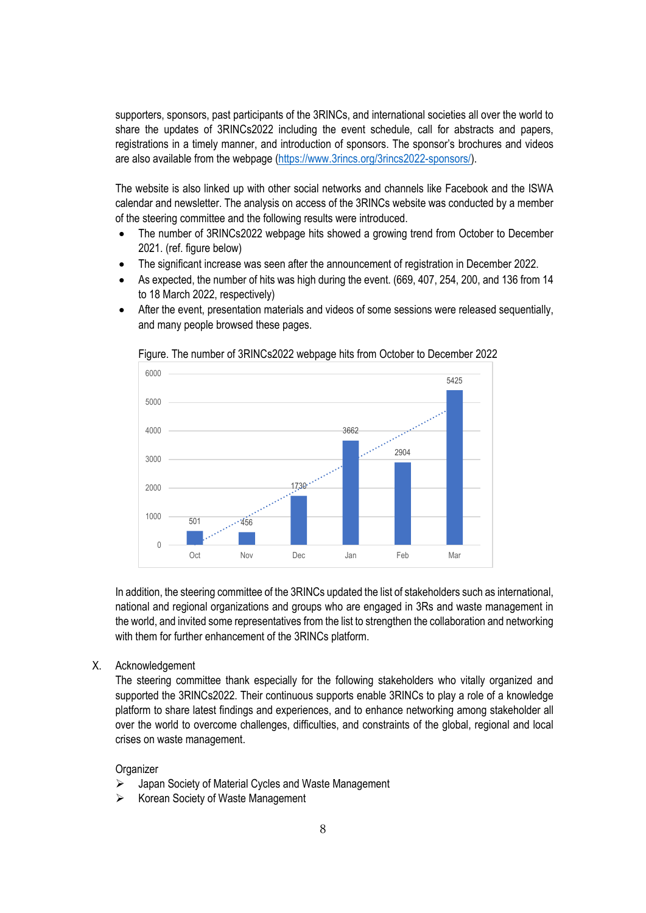supporters, sponsors, past participants of the 3RINCs, and international societies all over the world to share the updates of 3RINCs2022 including the event schedule, call for abstracts and papers, registrations in a timely manner, and introduction of sponsors. The sponsor's brochures and videos are also available from the webpage (https://www.3rincs.org/3rincs2022-sponsors/).

The website is also linked up with other social networks and channels like Facebook and the ISWA calendar and newsletter. The analysis on access of the 3RINCs website was conducted by a member of the steering committee and the following results were introduced.

- The number of 3RINCs2022 webpage hits showed a growing trend from October to December 2021. (ref. figure below)
- The significant increase was seen after the announcement of registration in December 2022.
- As expected, the number of hits was high during the event. (669, 407, 254, 200, and 136 from 14 to 18 March 2022, respectively)
- After the event, presentation materials and videos of some sessions were released sequentially, and many people browsed these pages.



Figure. The number of 3RINCs2022 webpage hits from October to December 2022

In addition, the steering committee of the 3RINCs updated the list of stakeholders such as international, national and regional organizations and groups who are engaged in 3Rs and waste management in the world, and invited some representatives from the list to strengthen the collaboration and networking with them for further enhancement of the 3RINCs platform.

X. Acknowledgement

The steering committee thank especially for the following stakeholders who vitally organized and supported the 3RINCs2022. Their continuous supports enable 3RINCs to play a role of a knowledge platform to share latest findings and experiences, and to enhance networking among stakeholder all over the world to overcome challenges, difficulties, and constraints of the global, regional and local crises on waste management.

## **Organizer**

- Japan Society of Material Cycles and Waste Management
- $\triangleright$  Korean Society of Waste Management